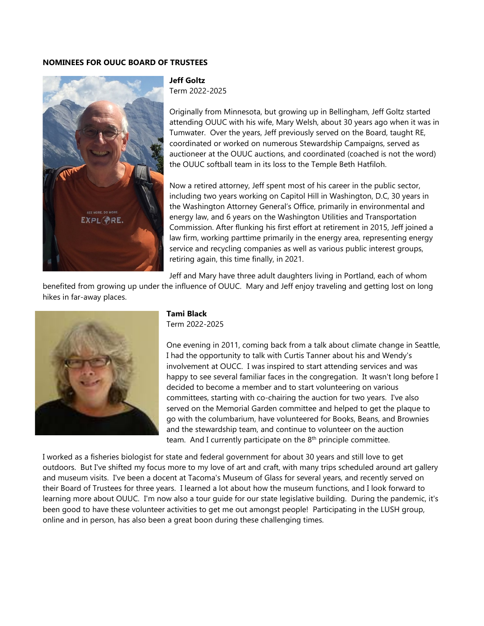### **NOMINEES FOR OUUC BOARD OF TRUSTEES**



### **Jeff Goltz** Term 2022-2025

Originally from Minnesota, but growing up in Bellingham, Jeff Goltz started attending OUUC with his wife, Mary Welsh, about 30 years ago when it was in Tumwater. Over the years, Jeff previously served on the Board, taught RE, coordinated or worked on numerous Stewardship Campaigns, served as auctioneer at the OUUC auctions, and coordinated (coached is not the word) the OUUC softball team in its loss to the Temple Beth Hatfiloh.

Now a retired attorney, Jeff spent most of his career in the public sector, including two years working on Capitol Hill in Washington, D.C, 30 years in the Washington Attorney General's Office, primarily in environmental and energy law, and 6 years on the Washington Utilities and Transportation Commission. After flunking his first effort at retirement in 2015, Jeff joined a law firm, working parttime primarily in the energy area, representing energy service and recycling companies as well as various public interest groups, retiring again, this time finally, in 2021.

Jeff and Mary have three adult daughters living in Portland, each of whom

benefited from growing up under the influence of OUUC. Mary and Jeff enjoy traveling and getting lost on long hikes in far-away places.



# **Tami Black**

Term 2022-2025

One evening in 2011, coming back from a talk about climate change in Seattle, I had the opportunity to talk with Curtis Tanner about his and Wendy's involvement at OUCC. I was inspired to start attending services and was happy to see several familiar faces in the congregation. It wasn't long before I decided to become a member and to start volunteering on various committees, starting with co-chairing the auction for two years. I've also served on the Memorial Garden committee and helped to get the plaque to go with the columbarium, have volunteered for Books, Beans, and Brownies and the stewardship team, and continue to volunteer on the auction team. And I currently participate on the  $8<sup>th</sup>$  principle committee.

I worked as a fisheries biologist for state and federal government for about 30 years and still love to get outdoors. But I've shifted my focus more to my love of art and craft, with many trips scheduled around art gallery and museum visits. I've been a docent at Tacoma's Museum of Glass for several years, and recently served on their Board of Trustees for three years. I learned a lot about how the museum functions, and I look forward to learning more about OUUC. I'm now also a tour guide for our state legislative building. During the pandemic, it's been good to have these volunteer activities to get me out amongst people! Participating in the LUSH group, online and in person, has also been a great boon during these challenging times.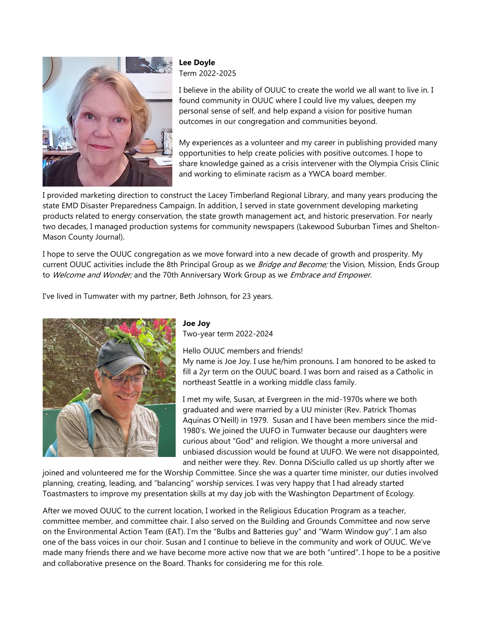

### **Lee Doyle**  Term 2022-2025

I believe in the ability of OUUC to create the world we all want to live in. I found community in OUUC where I could live my values, deepen my personal sense of self, and help expand a vision for positive human outcomes in our congregation and communities beyond.

My experiences as a volunteer and my career in publishing provided many opportunities to help create policies with positive outcomes. I hope to share knowledge gained as a crisis intervener with the Olympia Crisis Clinic and working to eliminate racism as a YWCA board member.

I provided marketing direction to construct the Lacey Timberland Regional Library, and many years producing the state EMD Disaster Preparedness Campaign. In addition, I served in state government developing marketing products related to energy conservation, the state growth management act, and historic preservation. For nearly two decades, I managed production systems for community newspapers (Lakewood Suburban Times and Shelton-Mason County Journal).

I hope to serve the OUUC congregation as we move forward into a new decade of growth and prosperity. My current OUUC activities include the 8th Principal Group as we *Bridge and Become;* the Vision, Mission, Ends Group to Welcome and Wonder; and the 70th Anniversary Work Group as we Embrace and Empower.

I've lived in Tumwater with my partner, Beth Johnson, for 23 years.



## **Joe Joy**

Two-year term 2022-2024

Hello OUUC members and friends!

My name is Joe Joy. I use he/him pronouns. I am honored to be asked to fill a 2yr term on the OUUC board. I was born and raised as a Catholic in northeast Seattle in a working middle class family.

I met my wife, Susan, at Evergreen in the mid-1970s where we both graduated and were married by a UU minister (Rev. Patrick Thomas Aquinas O'Neill) in 1979. Susan and I have been members since the mid-1980's. We joined the UUFO in Tumwater because our daughters were curious about "God" and religion. We thought a more universal and unbiased discussion would be found at UUFO. We were not disappointed, and neither were they. Rev. Donna DiSciullo called us up shortly after we

joined and volunteered me for the Worship Committee. Since she was a quarter time minister, our duties involved planning, creating, leading, and "balancing" worship services. I was very happy that I had already started Toastmasters to improve my presentation skills at my day job with the Washington Department of Ecology.

After we moved OUUC to the current location, I worked in the Religious Education Program as a teacher, committee member, and committee chair. I also served on the Building and Grounds Committee and now serve on the Environmental Action Team (EAT). I'm the "Bulbs and Batteries guy" and "Warm Window guy". I am also one of the bass voices in our choir. Susan and I continue to believe in the community and work of OUUC. We've made many friends there and we have become more active now that we are both "untired". I hope to be a positive and collaborative presence on the Board. Thanks for considering me for this role.